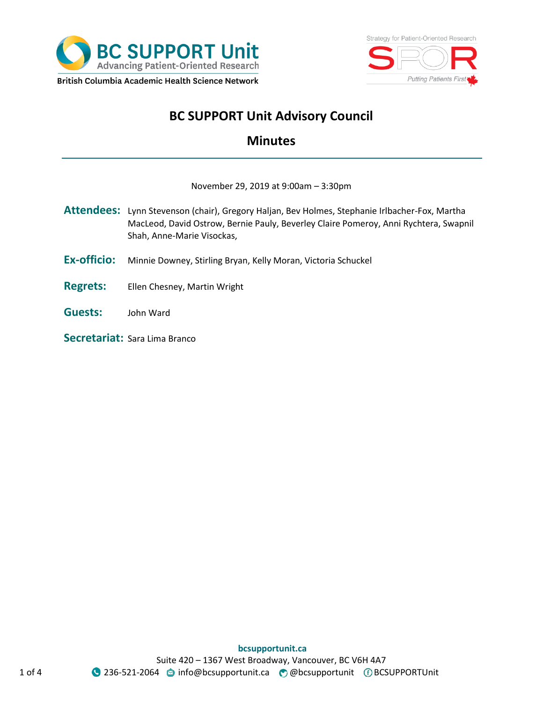



# **BC SUPPORT Unit Advisory Council**

# **Minutes**

#### November 29, 2019 at 9:00am – 3:30pm

- **Attendees:** Lynn Stevenson (chair), Gregory Haljan, Bev Holmes, Stephanie Irlbacher-Fox, Martha MacLeod, David Ostrow, Bernie Pauly, Beverley Claire Pomeroy, Anni Rychtera, Swapnil Shah, Anne-Marie Visockas,
- **Ex-officio:** Minnie Downey, Stirling Bryan, Kelly Moran, Victoria Schuckel
- **Regrets:** Ellen Chesney, Martin Wright
- **Guests:** John Ward
- **Secretariat:** Sara Lima Branco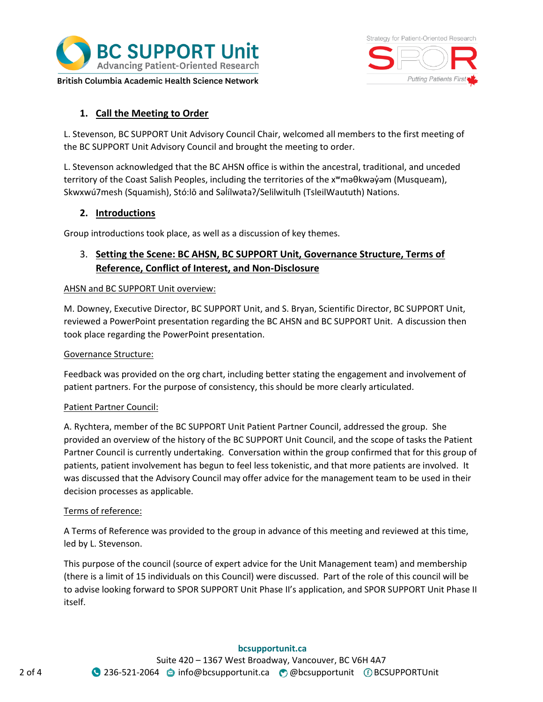



# **1. Call the Meeting to Order**

L. Stevenson, BC SUPPORT Unit Advisory Council Chair, welcomed all members to the first meeting of the BC SUPPORT Unit Advisory Council and brought the meeting to order.

L. Stevenson acknowledged that the BC AHSN office is within the ancestral, traditional, and unceded territory of the Coast Salish Peoples, including the territories of the xʷməθkwəy̓əm (Musqueam), Skwxwú7mesh (Squamish), Stó:lō and Səlílwəta?/Selilwitulh (TsleilWaututh) Nations.

# **2. Introductions**

Group introductions took place, as well as a discussion of key themes.

# 3. **Setting the Scene: BC AHSN, BC SUPPORT Unit, Governance Structure, Terms of Reference, Conflict of Interest, and Non-Disclosure**

#### AHSN and BC SUPPORT Unit overview:

M. Downey, Executive Director, BC SUPPORT Unit, and S. Bryan, Scientific Director, BC SUPPORT Unit, reviewed a PowerPoint presentation regarding the BC AHSN and BC SUPPORT Unit. A discussion then took place regarding the PowerPoint presentation.

#### Governance Structure:

Feedback was provided on the org chart, including better stating the engagement and involvement of patient partners. For the purpose of consistency, this should be more clearly articulated.

#### Patient Partner Council:

A. Rychtera, member of the BC SUPPORT Unit Patient Partner Council, addressed the group. She provided an overview of the history of the BC SUPPORT Unit Council, and the scope of tasks the Patient Partner Council is currently undertaking. Conversation within the group confirmed that for this group of patients, patient involvement has begun to feel less tokenistic, and that more patients are involved. It was discussed that the Advisory Council may offer advice for the management team to be used in their decision processes as applicable.

#### Terms of reference:

A Terms of Reference was provided to the group in advance of this meeting and reviewed at this time, led by L. Stevenson.

This purpose of the council (source of expert advice for the Unit Management team) and membership (there is a limit of 15 individuals on this Council) were discussed. Part of the role of this council will be to advise looking forward to SPOR SUPPORT Unit Phase II's application, and SPOR SUPPORT Unit Phase II itself.

#### **bcsupportunit.ca**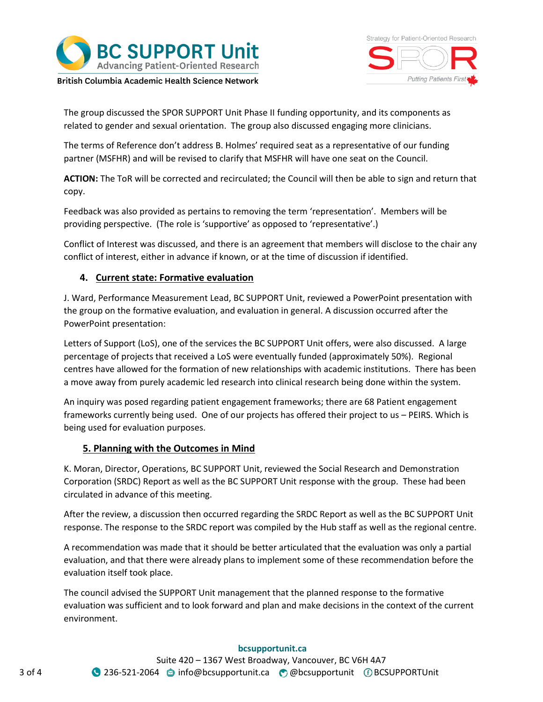



The group discussed the SPOR SUPPORT Unit Phase II funding opportunity, and its components as related to gender and sexual orientation. The group also discussed engaging more clinicians.

The terms of Reference don't address B. Holmes' required seat as a representative of our funding partner (MSFHR) and will be revised to clarify that MSFHR will have one seat on the Council.

**ACTION:** The ToR will be corrected and recirculated; the Council will then be able to sign and return that copy.

Feedback was also provided as pertains to removing the term 'representation'. Members will be providing perspective. (The role is 'supportive' as opposed to 'representative'.)

Conflict of Interest was discussed, and there is an agreement that members will disclose to the chair any conflict of interest, either in advance if known, or at the time of discussion if identified.

# **4. Current state: Formative evaluation**

J. Ward, Performance Measurement Lead, BC SUPPORT Unit, reviewed a PowerPoint presentation with the group on the formative evaluation, and evaluation in general. A discussion occurred after the PowerPoint presentation:

Letters of Support (LoS), one of the services the BC SUPPORT Unit offers, were also discussed. A large percentage of projects that received a LoS were eventually funded (approximately 50%). Regional centres have allowed for the formation of new relationships with academic institutions. There has been a move away from purely academic led research into clinical research being done within the system.

An inquiry was posed regarding patient engagement frameworks; there are 68 Patient engagement frameworks currently being used. One of our projects has offered their project to us – PEIRS. Which is being used for evaluation purposes.

# **5. Planning with the Outcomes in Mind**

K. Moran, Director, Operations, BC SUPPORT Unit, reviewed the Social Research and Demonstration Corporation (SRDC) Report as well as the BC SUPPORT Unit response with the group. These had been circulated in advance of this meeting.

After the review, a discussion then occurred regarding the SRDC Report as well as the BC SUPPORT Unit response. The response to the SRDC report was compiled by the Hub staff as well as the regional centre.

A recommendation was made that it should be better articulated that the evaluation was only a partial evaluation, and that there were already plans to implement some of these recommendation before the evaluation itself took place.

The council advised the SUPPORT Unit management that the planned response to the formative evaluation was sufficient and to look forward and plan and make decisions in the context of the current environment.

#### **bcsupportunit.ca**